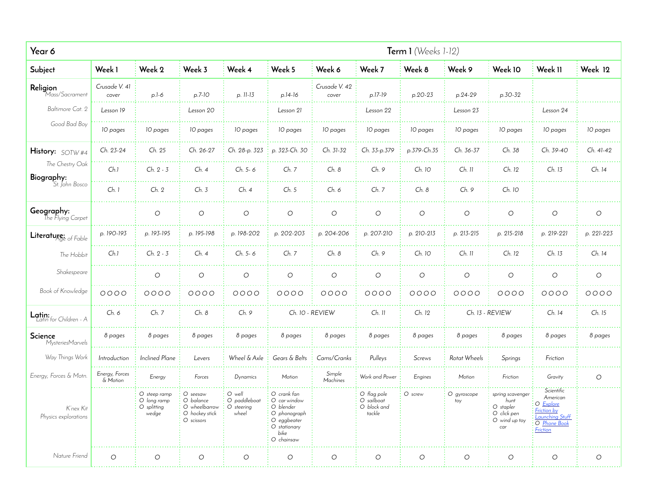| Year 6                            |                            |                                                          |                                                                        |                                               |                                                                                                               |                        |                                                    | Term $1$ (Weeks $1-12$ ) |                    |                                                                              |                                                                                                  |            |
|-----------------------------------|----------------------------|----------------------------------------------------------|------------------------------------------------------------------------|-----------------------------------------------|---------------------------------------------------------------------------------------------------------------|------------------------|----------------------------------------------------|--------------------------|--------------------|------------------------------------------------------------------------------|--------------------------------------------------------------------------------------------------|------------|
| Subject                           | Week 1                     | Week 2                                                   | Week 3                                                                 | Week 4                                        | Week 5                                                                                                        | Week 6                 | Week 7                                             | Week 8                   | Week 9             | Week 10                                                                      | Week II                                                                                          | Week 12    |
| Religion<br>Mass/Sacrament        | Crusade V. 41<br>cover     | $p.l-6$                                                  | $p.7-10$                                                               | p. 11-13                                      | $p.14-16$                                                                                                     | Crusade V. 42<br>cover | p.17-19                                            | p.20-23                  | p.24-29            | p.30-32                                                                      |                                                                                                  |            |
| Baltimore Cat. 2                  | Lesson 19                  |                                                          | Lesson 20                                                              |                                               | Lesson 21                                                                                                     |                        | Lesson 22                                          |                          | Lesson 23          |                                                                              | Lesson 24                                                                                        |            |
| Good Bad Boy                      | 10 pages                   | 10 pages                                                 | 10 pages                                                               | 10 pages                                      | 10 pages                                                                                                      | 10 pages               | 10 pages                                           | 10 pages                 | 10 pages           | 10 pages                                                                     | 10 pages                                                                                         | 10 pages   |
| History: SOTW#4                   | Ch. 23-24                  | Ch. 25                                                   | Ch. 26-27                                                              | Ch. 28-p. 323                                 | p. 323-Ch. 30                                                                                                 | Ch. 31-32              | Ch. 33-p.379                                       | p.379-Ch.35              | Ch. 36-37          | Ch. 38                                                                       | Ch. 39-40                                                                                        | Ch. 41-42  |
| The Chestry Oak<br>Biography:     | Ch.1                       | Ch. 2 - 3                                                | Ch. 4                                                                  | Ch. 5-6                                       | Ch. 7                                                                                                         | Ch. 8                  | Ch. 9                                              | Ch. 10                   | $Ch.$ 11           | Ch. 12                                                                       | Ch. 13                                                                                           | Ch. 14     |
| St. John Bosco                    | Ch.1                       | Ch. 2                                                    | Ch. 3                                                                  | Ch. 4                                         | Ch. 5                                                                                                         | Ch. 6                  | Ch. 7                                              | Ch. 8                    | Ch. 9              | Ch. 10                                                                       |                                                                                                  |            |
| Geography:<br>The Flying Carpet   |                            | $\circlearrowright$                                      | $\circ$                                                                | $\circ$                                       | $\circlearrowright$                                                                                           | $\circlearrowright$    | $\circ$                                            | $\circ$                  | $\circ$            | $\circlearrowright$                                                          | $\circlearrowright$                                                                              | $\circ$    |
| Literature: of Fable              | p. 190-193                 | p. 193-195                                               | p. 195-198                                                             | p. 198-202                                    | p. 202-203                                                                                                    | p. 204-206             | p. 207-210                                         | p. 210-213               | p. 213-215         | p. 215-218                                                                   | p. 219-221                                                                                       | p. 221-223 |
| The Hobbit                        | Ch.1                       | $Ch. 2 - 3$                                              | Ch. 4                                                                  | $Ch. 5-6$                                     | Ch. 7                                                                                                         | Ch. 8                  | Ch. 9                                              | Ch. 10                   | Ch. 11             | Ch. 12                                                                       | Ch. 13                                                                                           | Ch. 14     |
| Shakespeare                       |                            | $\bigcirc$                                               | $\circlearrowright$                                                    | $\circ$                                       | $\bigcirc$                                                                                                    | $\bigcirc$             | $\bigcirc$                                         | $\circ$                  | $\bigcirc$         | $\bigcirc$                                                                   | О                                                                                                | $\circ$    |
| Book of Knowledge                 | $0000$                     | 0000                                                     | 0000                                                                   | $0000$                                        | 0000                                                                                                          | 0000                   | $0000$                                             | 0000                     | $0000$             | 0000                                                                         | $0000$                                                                                           | $0000$     |
| Latin:<br>Latin for Children - A  | Ch. 6                      | Ch. 7                                                    | Ch. 8                                                                  | Ch. 9                                         | Ch. 10 - REVIEW                                                                                               |                        | $Ch.$ 11                                           | Ch. 12                   |                    | Ch. 13 - REVIEW                                                              | Ch. 14                                                                                           | Ch. 15     |
| Science<br>MysteriesMarvels       | 8 pages                    | 8 pages                                                  | 8 pages                                                                | 8 pages                                       | 8 pages                                                                                                       | 8 pages                | 8 pages                                            | 8 pages                  | 8 pages            | 8 pages                                                                      | 8 pages                                                                                          | 8 pages    |
| Way Things Work                   | Introduction               | <b>Inclined Plane</b>                                    | Levers                                                                 | Wheel & Axle                                  | Gears & Belts                                                                                                 | Cams/Cranks            | Pulleys                                            | Screws                   | Rotat Wheels       | Springs                                                                      | Friction                                                                                         |            |
| Energy, Forces & Motn.            | Energy, Forces<br>& Motion | Energy                                                   | Forces                                                                 | Dynamics                                      | Motion                                                                                                        | Simple<br>Machines     | Work and Power                                     | Engines                  | Motion             | Friction                                                                     | Gravity                                                                                          | $\circ$    |
| K'nex Kit<br>Physics explorations |                            | O steep ramp<br>O long ramp<br>$\cup$ splitting<br>wedge | O seesaw<br>O balance<br>U wheelbarrow<br>O hockey stick<br>O scissors | O well<br>O paddleboat<br>∪ steering<br>wheel | O crank fan<br>O car window<br>O blender<br>O phonograph<br>O eggbeater<br>O stationary<br>bike<br>O chainsaw |                        | O flag pole<br>O sailboat<br>O block and<br>tackle | O screw                  | O gyroscope<br>toy | spring scavenger<br>hunt<br>O stapler<br>O click pen<br>O wind up toy<br>car | Scientific<br>American<br>O Explore<br>Friction by<br>Launching Stuff<br>O Phone Boo<br>Friction |            |
| Nature Friend                     | $\circ$                    | $\circlearrowright$                                      | $\circlearrowright$                                                    | $\circ$                                       | $\bigcirc$                                                                                                    | $\circlearrowright$    | $\circlearrowright$                                | $\circ$                  | $\bigcirc$         | $\bigcirc$                                                                   | $\bigcirc$                                                                                       | $\bigcirc$ |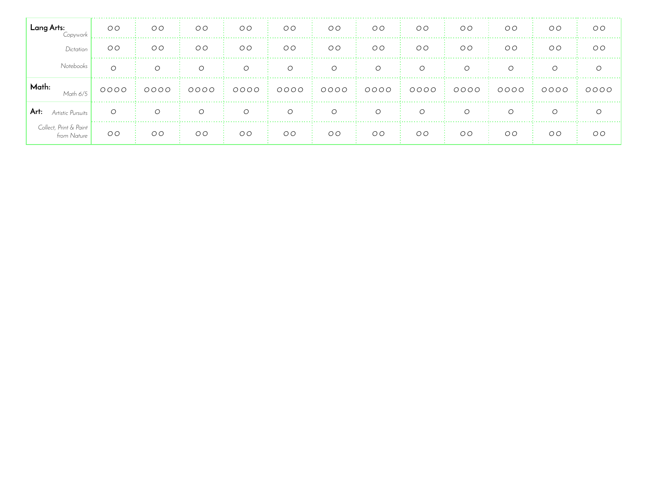| Lang Arts:<br>Copvwork                | OO             | OO             | O <sub>O</sub> | $O$ $O$        | OO             | O <sub>O</sub> | OO       | OO                                                                                 | OO       | O <sub>O</sub> | O <sub>O</sub> | O <sub>O</sub> |
|---------------------------------------|----------------|----------------|----------------|----------------|----------------|----------------|----------|------------------------------------------------------------------------------------|----------|----------------|----------------|----------------|
| Dictation                             | O <sub>O</sub> | OO             | O <sub>O</sub> | O <sub>O</sub> | O <sub>O</sub> | O <sub>O</sub> | OO       | OO                                                                                 | OO       | O <sub>O</sub> | O <sub>O</sub> | O <sub>O</sub> |
| Notebooks                             | $\Omega$       | $\overline{O}$ | $\overline{O}$ | $\overline{O}$ | $\circ$        | $\overline{O}$ | $\circ$  | $\circ$                                                                            | $\circ$  | $\circ$        | $\circ$        | $\circ$        |
| Math:<br>Math 6/5                     | $0000$ :       |                |                |                |                |                |          | $0000 \pm 0000 \pm 0000 \pm 0000 \pm 0000 \pm 0000 \pm 0000 \pm 0000 \pm 0000 \pm$ |          |                | OOOO           | 0000           |
| Art:<br>Artistic Pursuits             | $\Omega$       | $\Omega$       | $\Omega$       | $\Omega$       | $\Omega$       | $\Omega$       | $\Omega$ | $\circ$                                                                            | $\Omega$ | $\Omega$       | $\bigcirc$     |                |
| Collect, Print & Paint<br>from Nature | OO             | $O$ $O$        | O <sub>O</sub> | $O$ $O$<br>-11 | O <sub>O</sub> | OO             | $O$ $O$  | OO                                                                                 | OO       | $O$ $O$        | O <sub>O</sub> | $O$ $O$        |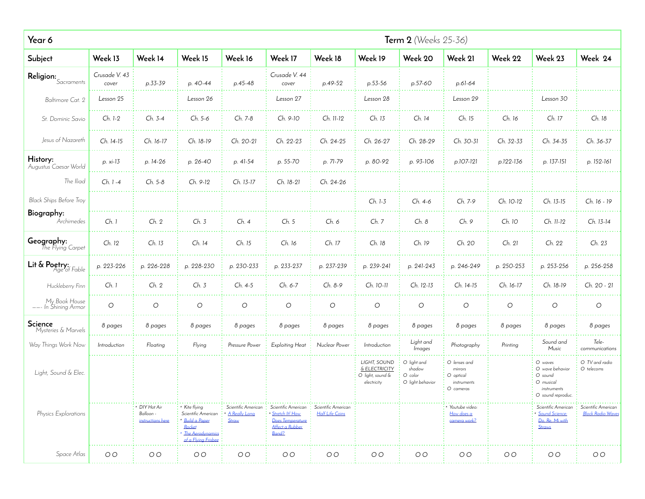| Year 6                                |                        |                                               |                                                                                                            |                                               |                                                                                        |                                               |                                                                  | <b>Term 2</b> (Weeks 25-36)                          |                                                                  |                     |                                                                                       |                                                |
|---------------------------------------|------------------------|-----------------------------------------------|------------------------------------------------------------------------------------------------------------|-----------------------------------------------|----------------------------------------------------------------------------------------|-----------------------------------------------|------------------------------------------------------------------|------------------------------------------------------|------------------------------------------------------------------|---------------------|---------------------------------------------------------------------------------------|------------------------------------------------|
| Subject                               | Week 13                | Week 14                                       | Week 15                                                                                                    | Week 16                                       | Week 17                                                                                | Week 18                                       | Week 19                                                          | Week 20                                              | Week 21                                                          | Week 22             | Week 23                                                                               | Week 24                                        |
| $\textbf{Religion:}_{Sacraments}$     | Crusade V. 43<br>cover | p.33-39                                       | p. 40-44                                                                                                   | $p.45-48$                                     | Crusade V. 44<br>cover                                                                 | p.49-52                                       | p.53-56                                                          | p.57-60                                              | p.61-64                                                          |                     |                                                                                       |                                                |
| Baltimore Cat. 2                      | Lesson 25              |                                               | Lesson 26                                                                                                  |                                               | Lesson 27                                                                              |                                               | Lesson 28                                                        |                                                      | Lesson 29                                                        |                     | Lesson 30                                                                             |                                                |
| St. Dominic Savio                     | Ch. 1-2                | Ch. 3-4                                       | Ch. 5-6                                                                                                    | Ch. 7-8                                       | Ch. 9-10                                                                               | Ch. 11-12                                     | Ch. 13                                                           | Ch. 14                                               | Ch. 15                                                           | Ch. 16              | Ch. 17                                                                                | Ch. 18                                         |
| Jesus of Nazareth                     | Ch. 14-15              | Ch. 16-17                                     | Ch. 18-19                                                                                                  | Ch. 20-21                                     | Ch. 22-23                                                                              | Ch. 24-25                                     | Ch. 26-27                                                        | Ch. 28-29                                            | Ch. 30-31                                                        | Ch. 32-33           | Ch. 34-35                                                                             | Ch. 36-37                                      |
| History:<br>Augustus Caesar World     | p. xi-13               | p. 14-26                                      | p. 26-40                                                                                                   | p. 41-54                                      | p. 55-70                                                                               | p. 71-79                                      | p. 80-92                                                         | p. 93-106                                            | p.107-121                                                        | p.122-136           | p. 137-151                                                                            | p. 152-161                                     |
| The Iliad                             | Ch. 1 -4               | Ch. 5-8                                       | Ch. 9-12                                                                                                   | Ch. 13-17                                     | Ch. 18-21                                                                              | Ch. 24-26                                     |                                                                  |                                                      |                                                                  |                     |                                                                                       |                                                |
| <b>Black Ships Before Troy</b>        |                        |                                               |                                                                                                            |                                               |                                                                                        |                                               | Ch. 1-3                                                          | Ch. 4-6                                              | Ch. 7-9                                                          | Ch. 10-12           | Ch. 13-15                                                                             | Ch. 16 - 19                                    |
| Biography:<br>Archimedes              | Ch.1                   | Ch. 2                                         | Ch. 3                                                                                                      | Ch. 4                                         | Ch. 5                                                                                  | Ch. 6                                         | Ch. 7                                                            | Ch. 8                                                | Ch. 9                                                            | Ch. 10              | Ch. 11-12                                                                             | Ch. 13-14                                      |
| Geography:<br>The Flying Carpet       | Ch. 12                 | Ch. 13                                        | Ch. 14                                                                                                     | Ch. 15                                        | Ch. 16                                                                                 | Ch. 17                                        | Ch. 18                                                           | Ch. 19                                               | Ch. 20                                                           | Ch. 21              | Ch. 22                                                                                | Ch. 23                                         |
| Lit $\&$ Poetry: $F_{\text{c}}$ Fable | p. 223-226             | p. 226-228                                    | p. 228-230                                                                                                 | p. 230-233                                    | p. 233-237                                                                             | p. 237-239                                    | p. 239-241                                                       | p. 241-243                                           | p. 246-249                                                       | p. 250-253          | p. 253-256                                                                            | p. 256-258                                     |
| Huckleberry Finn                      | Ch. 1                  | Ch. 2                                         | Ch. 3                                                                                                      | Ch. 4-5                                       | Ch. 6-7                                                                                | Ch. 8-9                                       | Ch. 10-11                                                        | Ch. 12-13                                            | Ch. 14-15                                                        | Ch. 16-17           | Ch. 18-19                                                                             | Ch. 20 - 21                                    |
| My Book House<br>——- In Shining Armor | $\circ$                | $\circlearrowright$                           | $\bigcirc$                                                                                                 | $\bigcirc$                                    | $\bigcirc$                                                                             | $\circ$                                       | $\bigcirc$                                                       | $\circ$                                              | $\bigcirc$                                                       | $\circlearrowright$ | $\circlearrowright$                                                                   | $\circlearrowright$                            |
| Science<br>Mysteries & Marvels        | 8 pages                | 8 pages                                       | 8 pages                                                                                                    | 8 pages                                       | 8 pages                                                                                | 8 pages                                       | 8 pages                                                          | 8 pages                                              | 8 pages                                                          | 8 pages             | 8 pages                                                                               | 8 pages                                        |
| Way Things Work Now                   | Introduction           | Floating                                      | Flying                                                                                                     | Pressure Power                                | Exploiting Heat                                                                        | Nuclear Power                                 | Introduction                                                     | Light and<br>Images                                  | Photography                                                      | Printing            | Sound and<br>Music                                                                    | Tele-<br>communications                        |
| Light, Sound & Elec.                  |                        |                                               |                                                                                                            |                                               |                                                                                        |                                               | LIGHT, SOUND<br>& ELECTRICITY<br>O light, sound &<br>electricity | O light and<br>shadow<br>O color<br>O light behavior | O lenses and<br>mirrors<br>O optical<br>instruments<br>O cameras |                     | O waves<br>O wave behavior<br>O sound<br>O musical<br>instruments<br>O sound reproduc | O TV and radio<br>O telecoms                   |
| Physics Explorations                  |                        | DIY Hot Air<br>Balloon -<br>instructions here | * Kite flying<br>Scientific American<br>Build a Paper<br>Rocket<br>The Aerodynamics<br>of a Flying Frisbee | Scientific American<br>A Really Long<br>Straw | Scientific American<br>Stretch Itl How<br>Does Temperature<br>Affect a Rubber<br>Band? | Scientific American<br><b>Half Life Coins</b> |                                                                  |                                                      | * Youtube video:<br>How does a<br>camera work?                   |                     | Scientific American<br>Sound Science:<br>Do, Re, Mi with<br>Straws                    | Scientific American<br><b>Block Radio Wave</b> |
| Space Atlas                           | O <sub>O</sub>         | O <sub>O</sub>                                | $O$ $O$                                                                                                    | O <sub>O</sub>                                | O <sub>O</sub>                                                                         | O <sub>O</sub>                                | O <sub>O</sub>                                                   | O <sub>O</sub>                                       | O <sub>O</sub>                                                   | O <sub>O</sub>      | O <sub>O</sub>                                                                        | O <sub>O</sub>                                 |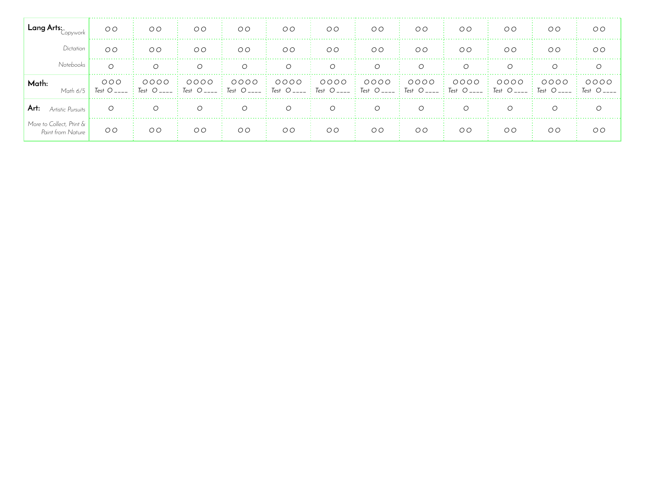| Lang Arts:                                    | O <sub>O</sub> | O <sub>O</sub>                                                                                                                                         | O <sub>O</sub> | O <sub>O</sub> | OO        | OO        | OO             | OO             | OO        | O <sub>O</sub> | O <sub>O</sub> | O <sub>O</sub>        |
|-----------------------------------------------|----------------|--------------------------------------------------------------------------------------------------------------------------------------------------------|----------------|----------------|-----------|-----------|----------------|----------------|-----------|----------------|----------------|-----------------------|
| Dictation                                     | OQ             | OO                                                                                                                                                     | OO             | O <sub>O</sub> | OO        | OO        | OO             | O <sub>O</sub> | OO        | O <sub>O</sub> | O <sub>O</sub> | O <sub>O</sub>        |
| <b>Notebooks</b>                              | ◯              | $\Omega$                                                                                                                                               | $\bigcap$      | $\Omega$       | $\bigcap$ | $\Omega$  | $\Omega$       | $\bigcap$      | $\bigcap$ | $\bigcap$      | $\bigcap$      | $\Omega$              |
| Math:<br>Math 6/5                             | OOO            | $0000$<br>Test O____ : Test O____ : Test O____ : Test O____ : Test O____ : Test O____ : Test O____ : Test O____ : Test O____ : Test O____ : Test O____ | 0000           | 0000           | OOOO      | 0000      | 0000           | 0000           | 0000      | OOOO           | 0000           | 0000<br>$\div$ Test O |
| Art:<br>Artistic Pursuits                     | $\Omega$       | $\Omega$                                                                                                                                               | $\bigcap$      | $\Omega$       | $\bigcap$ | $\bigcap$ | $\bigcap$      | $\bigcap$      | $\cap$    | $\cap$         |                |                       |
| More to Collect, Ptint &<br>Paint from Nature | O <sub>O</sub> | OO                                                                                                                                                     | O <sub>O</sub> | O <sub>O</sub> | OO        | OO        | O <sub>O</sub> | OO             | O O       | O <sub>O</sub> | O <sub>O</sub> | O <sub>O</sub>        |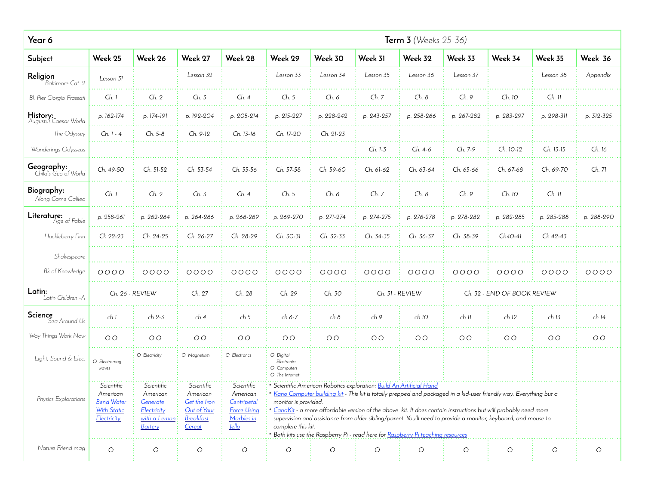| Year 6                             |                                                                                  |                                                                                     |                                                                                     |                                                                                           |                                                           |                     |                                                                                 | <b>Term 3</b> (Weeks 25-36)                                                    |                                                                                                                                                                                                                                                                                                                                                          |                             |                     |                     |
|------------------------------------|----------------------------------------------------------------------------------|-------------------------------------------------------------------------------------|-------------------------------------------------------------------------------------|-------------------------------------------------------------------------------------------|-----------------------------------------------------------|---------------------|---------------------------------------------------------------------------------|--------------------------------------------------------------------------------|----------------------------------------------------------------------------------------------------------------------------------------------------------------------------------------------------------------------------------------------------------------------------------------------------------------------------------------------------------|-----------------------------|---------------------|---------------------|
| Subject                            | Week 25                                                                          | Week 26                                                                             | Week 27                                                                             | Week 28                                                                                   | Week 29                                                   | Week 30             | Week 31                                                                         | Week 32                                                                        | Week 33                                                                                                                                                                                                                                                                                                                                                  | Week 34                     | Week 35             | Week 36             |
| Religion<br>Baltimore Cat. 2       | Lesson 31                                                                        |                                                                                     | Lesson 32                                                                           |                                                                                           | Lesson 33                                                 | Lesson 34           | Lesson 35                                                                       | Lesson 36                                                                      | Lesson 37                                                                                                                                                                                                                                                                                                                                                |                             | Lesson 38           | Appendix            |
| Bl. Pier Giorgio Frassati          | Ch. 1                                                                            | Ch. 2                                                                               | Ch. 3                                                                               | Ch.4                                                                                      | Ch. 5                                                     | Ch. 6               | Ch. 7                                                                           | Ch. 8                                                                          | Ch. 9                                                                                                                                                                                                                                                                                                                                                    | Ch. 10                      | $Ch.$ $Il$          |                     |
| History:<br>Augustus Caesar World  | p. 162-174                                                                       | p. 174-191                                                                          | p. 192-204                                                                          | p. 205-214                                                                                | p. 215-227                                                | p. 228-242          | p. 243-257                                                                      | p. 258-266                                                                     | p. 267-282                                                                                                                                                                                                                                                                                                                                               | p. 283-297                  | p. 298-311          | p. 312-325          |
| The Odyssey                        | Ch. 1 - 4                                                                        | Ch. 5-8                                                                             | Ch. 9-12                                                                            | Ch. 13-16                                                                                 | Ch. 17-20                                                 | Ch. 21-23           |                                                                                 |                                                                                |                                                                                                                                                                                                                                                                                                                                                          |                             |                     |                     |
| Wanderings Odysseus                |                                                                                  |                                                                                     |                                                                                     |                                                                                           |                                                           |                     | Ch. 1-3                                                                         | Ch. 4-6                                                                        | Ch. 7-9                                                                                                                                                                                                                                                                                                                                                  | Ch. 10-12                   | Ch. 13-15           | Ch. 16              |
| Geography:<br>Child's Geo of World | Ch. 49-50                                                                        | Ch. 51-52                                                                           | Ch. 53-54                                                                           | Ch. 55-56                                                                                 | Ch. 57-58                                                 | Ch. 59-60           | Ch. 61-62                                                                       | Ch. 63-64                                                                      | Ch. 65-66                                                                                                                                                                                                                                                                                                                                                | Ch. 67-68                   | Ch. 69-70           | Ch. 71              |
| Biography:<br>Along Came Galileo   | Ch. 1                                                                            | Ch. 2                                                                               | Ch. 3                                                                               | Ch. 4                                                                                     | Ch. 5                                                     | Ch. 6               | Ch. 7                                                                           | Ch. 8                                                                          | Ch. 9                                                                                                                                                                                                                                                                                                                                                    | Ch. 10                      | Ch. 11              |                     |
| <b>Literature:</b><br>Age of Fable | p. 258-261                                                                       | p. 262-264                                                                          | p. 264-266                                                                          | p. 266-269                                                                                | p. 269-270                                                | p. 271-274          | p. 274-275                                                                      | p. 276-278                                                                     | p. 278-282                                                                                                                                                                                                                                                                                                                                               | p. 282-285                  | p. 285-288          | p. 288-290          |
| Huckleberry Finn                   | Ch 22-23                                                                         | Ch. 24-25                                                                           | Ch. 26-27                                                                           | Ch. 28-29                                                                                 | Ch. 30-31                                                 | Ch. 32-33           | Ch. 34-35                                                                       | Ch 36-37                                                                       | Ch 38-39                                                                                                                                                                                                                                                                                                                                                 | $Ch4O-41$                   | Ch 42-43            |                     |
| Shakespeare                        |                                                                                  |                                                                                     |                                                                                     |                                                                                           |                                                           |                     |                                                                                 |                                                                                |                                                                                                                                                                                                                                                                                                                                                          |                             |                     |                     |
| Bk of Knowledge                    | 0000                                                                             | 0000                                                                                | 0000                                                                                | $0000$                                                                                    | $0000$                                                    | 0000                | 0000                                                                            | 0000                                                                           | $0000$                                                                                                                                                                                                                                                                                                                                                   | 0000                        | $0000$              | $0000$              |
| Latin:<br>Latin Children - A       |                                                                                  | Ch. 26 - REVIEW                                                                     | Ch. 27                                                                              | Ch. 28                                                                                    | Ch. 29                                                    | Ch. 30              |                                                                                 | Ch. 31 - REVIEW                                                                |                                                                                                                                                                                                                                                                                                                                                          | Ch. 32 - END OF BOOK REVIEW |                     |                     |
| Science<br>Sea Around Us           | ch 1                                                                             | ch 2-3                                                                              | ch 4                                                                                | ch <sub>5</sub>                                                                           | ch 6-7                                                    | ch 8                | ch 9                                                                            | ch 10                                                                          | ch II                                                                                                                                                                                                                                                                                                                                                    | ch 12                       | ch 13               | ch 14               |
| Way Things Work Now                | O O                                                                              | O <sub>O</sub>                                                                      | O <sub>O</sub>                                                                      | O <sub>O</sub>                                                                            | O <sub>O</sub>                                            | O <sub>O</sub>      | $O O$                                                                           | O <sub>O</sub>                                                                 | O <sub>O</sub>                                                                                                                                                                                                                                                                                                                                           | O <sub>O</sub>              | O <sub>O</sub>      | O <sub>O</sub>      |
| Light, Sound & Elec.               | O Electromag<br>waves                                                            | O Electricity                                                                       | O Magnetism                                                                         | O Electroncs                                                                              | O Digital<br>Electronics<br>O Computers<br>O The Internet |                     |                                                                                 |                                                                                |                                                                                                                                                                                                                                                                                                                                                          |                             |                     |                     |
| Physics Explorations               | Scientific<br>American<br><b>Bend Water</b><br><b>With Static</b><br>Electricity | Scientific<br>American<br>Generate<br>Electricity<br>with a Lemon<br><b>Battery</b> | Scientific<br>American<br>Get the Iron<br>Out of Your<br><b>Breakfast</b><br>Cereal | Scientific<br>American<br>Centripetal<br><b>Force Using</b><br>Marbles in<br><u>Jello</u> | monitor is provided.<br>complete this kit.                |                     | <sup>*</sup> Scientific American Robotics exploration: Build An Artificial Hand | Both kits use the Raspberry Pi - read here for Raspberry Pi teaching resources | * Kano Computer building kit - This kit is totally prepped and packaged in a kid-user friendly way. Everything but a<br>CanaKit - a more affordable version of the above kit. It does contain instructions but will probably need more<br>supervision and assistance from older sibling/parent. You'll need to provide a monitor, keyboard, and mouse to |                             |                     |                     |
| Nature Friend mag                  | $\circ$                                                                          | $\circlearrowright$                                                                 | $\circlearrowright$                                                                 | $\circlearrowright$                                                                       | $\bigcirc$                                                | $\circlearrowright$ | $\bigcirc$                                                                      | $\circlearrowright$                                                            | $\bigcirc$                                                                                                                                                                                                                                                                                                                                               | $\circ$                     | $\circlearrowright$ | $\circlearrowright$ |